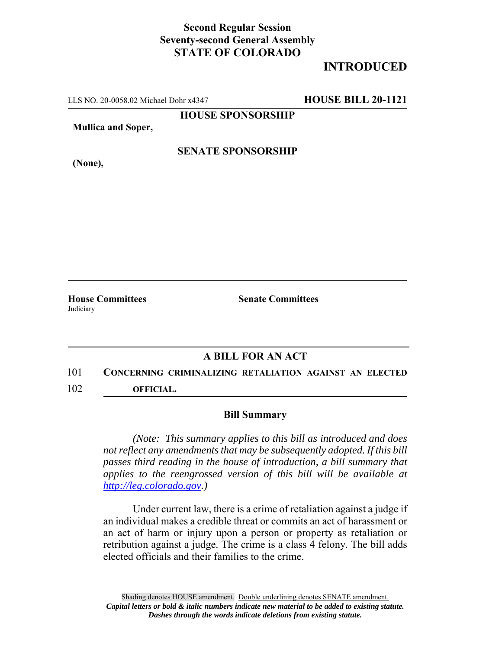## **Second Regular Session Seventy-second General Assembly STATE OF COLORADO**

## **INTRODUCED**

LLS NO. 20-0058.02 Michael Dohr x4347 **HOUSE BILL 20-1121**

**HOUSE SPONSORSHIP**

**Mullica and Soper,**

#### **SENATE SPONSORSHIP**

**(None),**

Judiciary

**House Committees Senate Committees** 

### **A BILL FOR AN ACT**

# 101 **CONCERNING CRIMINALIZING RETALIATION AGAINST AN ELECTED**

102 **OFFICIAL.**

#### **Bill Summary**

*(Note: This summary applies to this bill as introduced and does not reflect any amendments that may be subsequently adopted. If this bill passes third reading in the house of introduction, a bill summary that applies to the reengrossed version of this bill will be available at http://leg.colorado.gov.)*

Under current law, there is a crime of retaliation against a judge if an individual makes a credible threat or commits an act of harassment or an act of harm or injury upon a person or property as retaliation or retribution against a judge. The crime is a class 4 felony. The bill adds elected officials and their families to the crime.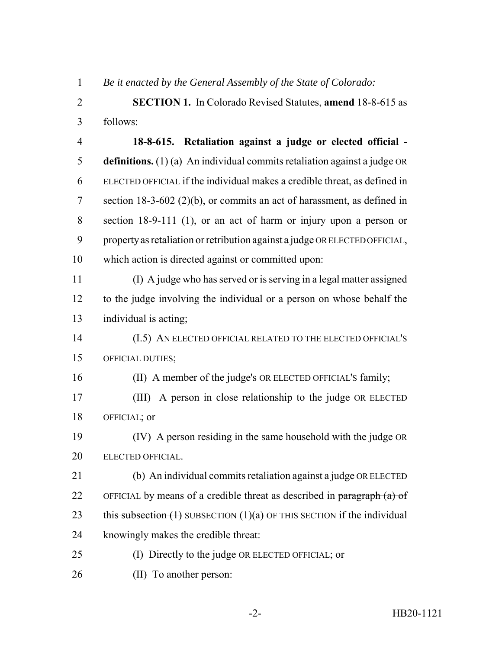| $\mathbf{1}$   | Be it enacted by the General Assembly of the State of Colorado:             |
|----------------|-----------------------------------------------------------------------------|
| $\overline{2}$ | <b>SECTION 1.</b> In Colorado Revised Statutes, <b>amend</b> 18-8-615 as    |
| 3              | follows:                                                                    |
| $\overline{4}$ | 18-8-615. Retaliation against a judge or elected official -                 |
| 5              | definitions. $(1)(a)$ An individual commits retaliation against a judge OR  |
| 6              | ELECTED OFFICIAL if the individual makes a credible threat, as defined in   |
| 7              | section $18-3-602$ (2)(b), or commits an act of harassment, as defined in   |
| 8              | section $18-9-111$ (1), or an act of harm or injury upon a person or        |
| 9              | property as retaliation or retribution against a judge OR ELECTED OFFICIAL, |
| 10             | which action is directed against or committed upon:                         |
| 11             | (I) A judge who has served or is serving in a legal matter assigned         |
| 12             | to the judge involving the individual or a person on whose behalf the       |
| 13             | individual is acting;                                                       |
| 14             | (I.5) AN ELECTED OFFICIAL RELATED TO THE ELECTED OFFICIAL'S                 |
| 15             | OFFICIAL DUTIES;                                                            |
| 16             | (II) A member of the judge's OR ELECTED OFFICIAL'S family;                  |
| 17             | (III) A person in close relationship to the judge OR ELECTED                |
| 18             | OFFICIAL; or                                                                |
| 19             | (IV) A person residing in the same household with the judge OR              |
| 20             | ELECTED OFFICIAL.                                                           |
| 21             | (b) An individual commits retaliation against a judge OR ELECTED            |
| 22             | OFFICIAL by means of a credible threat as described in paragraph (a) of     |
| 23             | this subsection $(1)$ SUBSECTION $(1)(a)$ OF THIS SECTION if the individual |
| 24             | knowingly makes the credible threat:                                        |
| 25             | (I) Directly to the judge OR ELECTED OFFICIAL; or                           |
| 26             | (II) To another person:                                                     |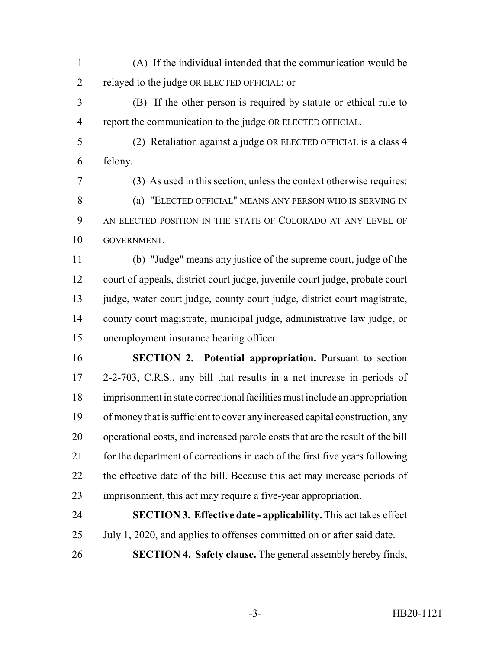- (A) If the individual intended that the communication would be relayed to the judge OR ELECTED OFFICIAL; or
- (B) If the other person is required by statute or ethical rule to report the communication to the judge OR ELECTED OFFICIAL.
	-
- felony.

(2) Retaliation against a judge OR ELECTED OFFICIAL is a class 4

 (3) As used in this section, unless the context otherwise requires: (a) "ELECTED OFFICIAL" MEANS ANY PERSON WHO IS SERVING IN AN ELECTED POSITION IN THE STATE OF COLORADO AT ANY LEVEL OF GOVERNMENT.

 (b) "Judge" means any justice of the supreme court, judge of the court of appeals, district court judge, juvenile court judge, probate court 13 judge, water court judge, county court judge, district court magistrate, county court magistrate, municipal judge, administrative law judge, or unemployment insurance hearing officer.

 **SECTION 2. Potential appropriation.** Pursuant to section 2-2-703, C.R.S., any bill that results in a net increase in periods of imprisonment in state correctional facilities must include an appropriation of money that is sufficient to cover any increased capital construction, any operational costs, and increased parole costs that are the result of the bill for the department of corrections in each of the first five years following the effective date of the bill. Because this act may increase periods of imprisonment, this act may require a five-year appropriation.

 **SECTION 3. Effective date - applicability.** This act takes effect July 1, 2020, and applies to offenses committed on or after said date. **SECTION 4. Safety clause.** The general assembly hereby finds,